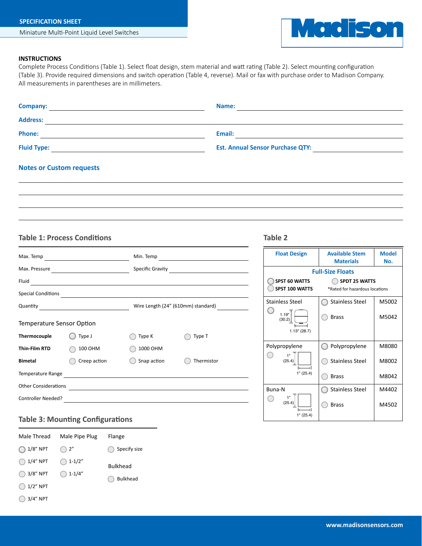

### **INSTRUCTIONS**

Complete Process Conditions (Table 1). Select float design, stem material and watt rating (Table 2). Select mounting configuration (Table 3). Provide required dimensions and switch operation (Table 4, reverse). Mail or fax with purchase order to Madison Company. All measurements in parentheses are in millimeters.

| Company:<br>the control of the control of the control of the control of the control of the control of | Name:                                   |
|-------------------------------------------------------------------------------------------------------|-----------------------------------------|
| <b>Address:</b>                                                                                       |                                         |
| <b>Phone:</b>                                                                                         | Email:                                  |
| <b>Fluid Type:</b>                                                                                    | <b>Est. Annual Sensor Purchase QTY:</b> |
|                                                                                                       |                                         |

### **Notes or Custom requests**

### **Table 1: Process Conditions Table 2**

| Fluid                       | <u> 1989 - Johann Barbara, martxa amerikan personal (h. 1989).</u> |                                                                                                                                                                                                                               |            |
|-----------------------------|--------------------------------------------------------------------|-------------------------------------------------------------------------------------------------------------------------------------------------------------------------------------------------------------------------------|------------|
|                             |                                                                    |                                                                                                                                                                                                                               |            |
|                             |                                                                    | Wire Length (24" (610mm) standard)                                                                                                                                                                                            |            |
| Temperature Sensor Option   |                                                                    |                                                                                                                                                                                                                               |            |
| Thermocouple                | Type J                                                             | Type K                                                                                                                                                                                                                        | Type T     |
| <b>Thin-Film RTD</b>        | 100 OHM                                                            | 1000 OHM                                                                                                                                                                                                                      |            |
| <b>Bimetal</b>              | Creep action                                                       | Snap action                                                                                                                                                                                                                   | Thermistor |
| Temperature Range           |                                                                    | <u> 1980 - Johann Stein, mars an deus Amerikaansk kommunister (</u>                                                                                                                                                           |            |
| <b>Other Considerations</b> |                                                                    | the control of the control of the control of the control of the control of the control of the control of the control of the control of the control of the control of the control of the control of the control of the control |            |
| <b>Controller Needed?</b>   |                                                                    |                                                                                                                                                                                                                               |            |

# **M** Series Sheet Sheet Sheet Sheet Sheet Sheet Sheet Sheet Sheet Sheet Sheet Sheet Sheet Sheet Sheet Sheet Sheet Sheet Sheet Sheet Sheet Sheet Sheet Sheet Sheet Sheet Sheet Sheet Sheet Sheet Sheet Sheet Sheet Sheet Sheet S

|                  | <b>Float Design</b>               | <b>Available Stem</b><br><b>Materials</b>       | <b>Model</b><br>No. |
|------------------|-----------------------------------|-------------------------------------------------|---------------------|
|                  |                                   | <b>Full-Size Floats</b>                         |                     |
|                  | SPST 60 WATTS<br>SPST 100 WATTS   | SPDT 25 WATTS<br>*Rated for hazardous locations |                     |
|                  | <b>Stainless Steel</b>            | <b>Stainless Steel</b>                          | M5002               |
| 610mm) standard) | 1.19"<br>(30.2)<br>$1.13"$ (28.7) | <b>Brass</b>                                    | M5042               |
| Type T           |                                   |                                                 |                     |
|                  | Polypropylene                     | Polypropylene                                   | M8080               |
| Thermistor       | 1"<br>(25.4)                      | <b>Stainless Steel</b>                          | M8002               |
|                  | 1" (25.4)                         | <b>Brass</b>                                    | M8042               |
|                  | Buna-N                            | <b>Stainless Steel</b>                          | M4402               |
|                  | 1"<br>(25.4)<br>$1"$ (25.4)       | <b>Brass</b>                                    | M4502               |

## **CONTROLLER NEEDED? Table 3: Mounting Configurations**

| Male Thread         | Male Pipe Plug    | Flange          |
|---------------------|-------------------|-----------------|
| $\bigcap 1/8"$ NPT  | $\bigcap$ 2"      | Specify size    |
| $\bigcirc$ 1/4" NPT | $\bigcirc$ 1-1/2" | <b>Bulkhead</b> |
| $\bigcirc$ 3/8" NPT | $() 1-1/4"$       | Bulkhead        |
| $\bigcirc$ 1/2" NPT |                   |                 |
| __                  |                   |                 |

3/4" NPT